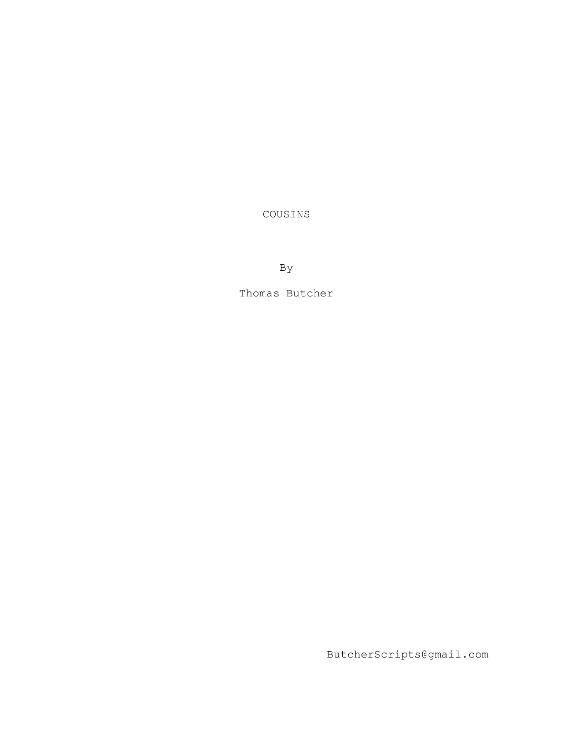COUSINS

By

Thomas Butcher

ButcherScripts@gmail.com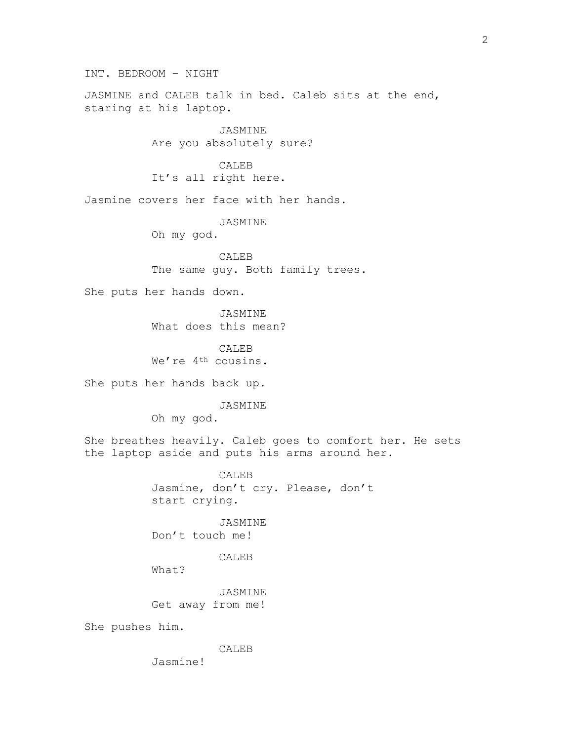INT. BEDROOM – NIGHT JASMINE and CALEB talk in bed. Caleb sits at the end, staring at his laptop. JASMINE Are you absolutely sure? CALEB It's all right here. Jasmine covers her face with her hands. JASMINE Oh my god. CALEB The same guy. Both family trees. She puts her hands down. JASMINE What does this mean? CALEB We're 4<sup>th</sup> cousins. She puts her hands back up. JASMINE Oh my god. She breathes heavily. Caleb goes to comfort her. He sets the laptop aside and puts his arms around her. CALEB Jasmine, don't cry. Please, don't start crying. JASMINE Don't touch me! CALEB What? JASMINE Get away from me! She pushes him. CALEB Jasmine!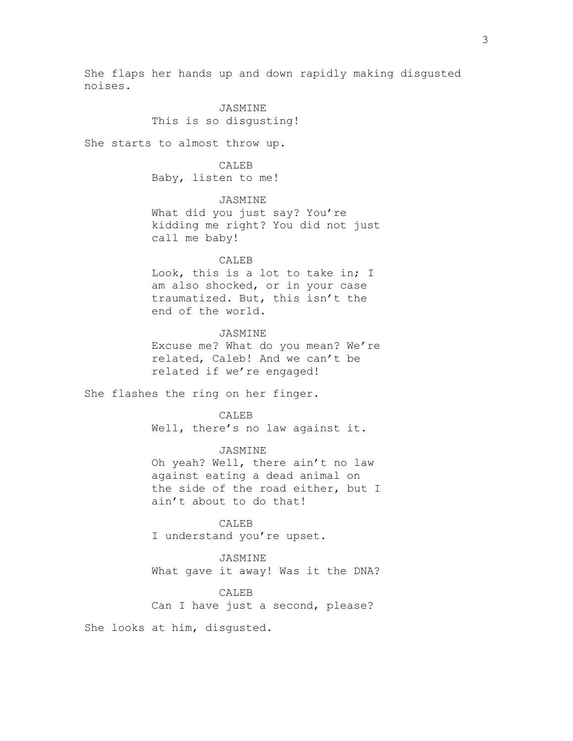She flaps her hands up and down rapidly making disgusted noises.

> JASMINE This is so disgusting!

She starts to almost throw up.

CALEB Baby, listen to me!

### JASMINE

What did you just say? You're kidding me right? You did not just call me baby!

### CALE<sub>B</sub>

Look, this is a lot to take in; I am also shocked, or in your case traumatized. But, this isn't the end of the world.

#### JASMINE

Excuse me? What do you mean? We're related, Caleb! And we can't be related if we're engaged!

She flashes the ring on her finger.

**CALEB** Well, there's no law against it.

JASMINE

Oh yeah? Well, there ain't no law against eating a dead animal on the side of the road either, but I ain't about to do that!

CALEB I understand you're upset.

JASMINE

What gave it away! Was it the DNA?

### CALEB

Can I have just a second, please?

She looks at him, disgusted.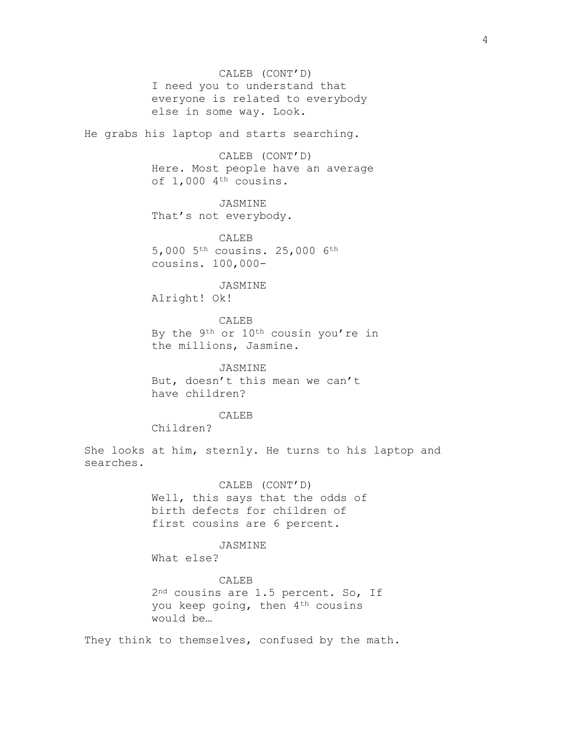CALEB (CONT'D) I need you to understand that everyone is related to everybody else in some way. Look.

He grabs his laptop and starts searching.

CALEB (CONT'D) Here. Most people have an average of 1,000 4<sup>th</sup> cousins.

JASMINE That's not everybody.

CALEB 5,000 5th cousins. 25,000 6th cousins. 100,000-

### JASMINE

Alright! Ok!

### CALEB

By the 9<sup>th</sup> or 10<sup>th</sup> cousin you're in the millions, Jasmine.

JASMINE But, doesn't this mean we can't have children?

# CALEB

Children?

She looks at him, sternly. He turns to his laptop and searches.

> CALEB (CONT'D) Well, this says that the odds of birth defects for children of first cousins are 6 percent.

### JASMINE

What else?

CALEB 2<sup>nd</sup> cousins are 1.5 percent. So, If you keep going, then 4th cousins would be…

They think to themselves, confused by the math.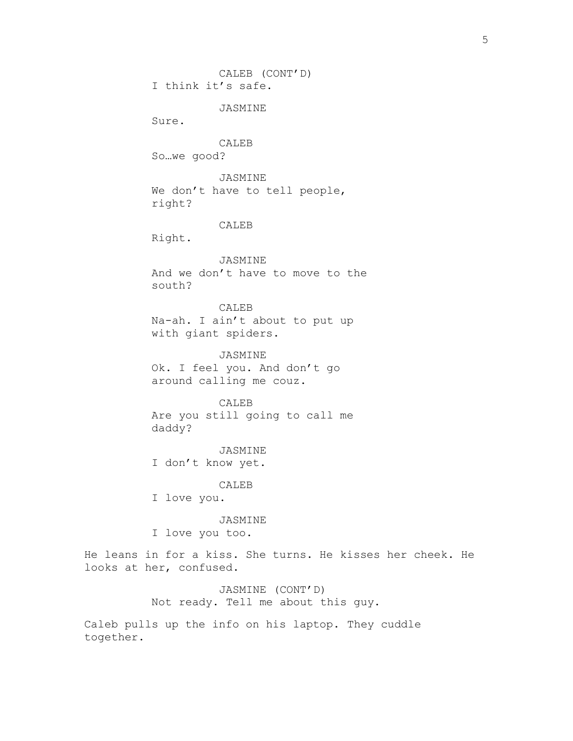CALEB (CONT'D) I think it's safe.

JASMINE

Sure.

CALEB

So…we good?

JASMINE We don't have to tell people, right?

### CALEB

Right.

JASMINE And we don't have to move to the south?

CALEB Na-ah. I ain't about to put up with giant spiders.

JASMINE Ok. I feel you. And don't go around calling me couz.

CALEB Are you still going to call me daddy?

JASMINE I don't know yet.

CALEB

I love you.

JASMINE

I love you too.

He leans in for a kiss. She turns. He kisses her cheek. He looks at her, confused.

> JASMINE (CONT'D) Not ready. Tell me about this guy.

Caleb pulls up the info on his laptop. They cuddle together.